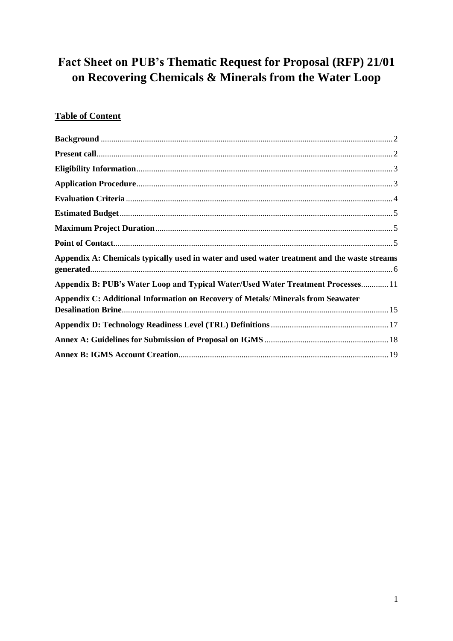# Fact Sheet on PUB's Thematic Request for Proposal (RFP) 21/01 on Recovering Chemicals & Minerals from the Water Loop

# **Table of Content**

| Appendix A: Chemicals typically used in water and used water treatment and the waste streams |  |
|----------------------------------------------------------------------------------------------|--|
| Appendix B: PUB's Water Loop and Typical Water/Used Water Treatment Processes 11             |  |
| Appendix C: Additional Information on Recovery of Metals/Minerals from Seawater              |  |
|                                                                                              |  |
|                                                                                              |  |
|                                                                                              |  |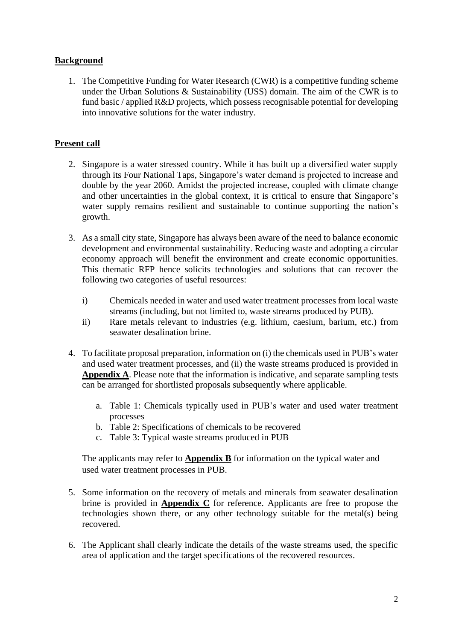## <span id="page-1-0"></span>**Background**

1. The Competitive Funding for Water Research (CWR) is a competitive funding scheme under the Urban Solutions & Sustainability (USS) domain. The aim of the CWR is to fund basic / applied R&D projects, which possess recognisable potential for developing into innovative solutions for the water industry.

### <span id="page-1-1"></span>**Present call**

- 2. Singapore is a water stressed country. While it has built up a diversified water supply through its Four National Taps, Singapore's water demand is projected to increase and double by the year 2060. Amidst the projected increase, coupled with climate change and other uncertainties in the global context, it is critical to ensure that Singapore's water supply remains resilient and sustainable to continue supporting the nation's growth.
- 3. As a small city state, Singapore has always been aware of the need to balance economic development and environmental sustainability. Reducing waste and adopting a circular economy approach will benefit the environment and create economic opportunities. This thematic RFP hence solicits technologies and solutions that can recover the following two categories of useful resources:
	- i) Chemicals needed in water and used water treatment processes from local waste streams (including, but not limited to, waste streams produced by PUB).
	- ii) Rare metals relevant to industries (e.g. lithium, caesium, barium, etc.) from seawater desalination brine.
- 4. To facilitate proposal preparation, information on (i) the chemicals used in PUB's water and used water treatment processes, and (ii) the waste streams produced is provided in **Appendix A**. Please note that the information is indicative, and separate sampling tests can be arranged for shortlisted proposals subsequently where applicable.
	- a. Table 1: Chemicals typically used in PUB's water and used water treatment processes
	- b. Table 2: Specifications of chemicals to be recovered
	- c. Table 3: Typical waste streams produced in PUB

The applicants may refer to **Appendix B** for information on the typical water and used water treatment processes in PUB.

- 5. Some information on the recovery of metals and minerals from seawater desalination brine is provided in **Appendix C** for reference. Applicants are free to propose the technologies shown there, or any other technology suitable for the metal(s) being recovered.
- 6. The Applicant shall clearly indicate the details of the waste streams used, the specific area of application and the target specifications of the recovered resources.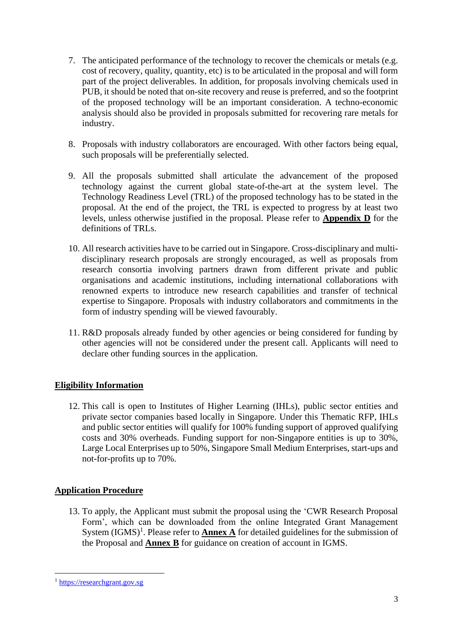- 7. The anticipated performance of the technology to recover the chemicals or metals (e.g. cost of recovery, quality, quantity, etc) is to be articulated in the proposal and will form part of the project deliverables. In addition, for proposals involving chemicals used in PUB, it should be noted that on-site recovery and reuse is preferred, and so the footprint of the proposed technology will be an important consideration. A techno-economic analysis should also be provided in proposals submitted for recovering rare metals for industry.
- 8. Proposals with industry collaborators are encouraged. With other factors being equal, such proposals will be preferentially selected.
- 9. All the proposals submitted shall articulate the advancement of the proposed technology against the current global state-of-the-art at the system level. The Technology Readiness Level (TRL) of the proposed technology has to be stated in the proposal. At the end of the project, the TRL is expected to progress by at least two levels, unless otherwise justified in the proposal. Please refer to **Appendix D** for the definitions of TRLs.
- 10. All research activities have to be carried out in Singapore. Cross-disciplinary and multidisciplinary research proposals are strongly encouraged, as well as proposals from research consortia involving partners drawn from different private and public organisations and academic institutions, including international collaborations with renowned experts to introduce new research capabilities and transfer of technical expertise to Singapore. Proposals with industry collaborators and commitments in the form of industry spending will be viewed favourably.
- 11. R&D proposals already funded by other agencies or being considered for funding by other agencies will not be considered under the present call. Applicants will need to declare other funding sources in the application.

# <span id="page-2-0"></span>**Eligibility Information**

12. This call is open to Institutes of Higher Learning (IHLs), public sector entities and private sector companies based locally in Singapore. Under this Thematic RFP, IHLs and public sector entities will qualify for 100% funding support of approved qualifying costs and 30% overheads. Funding support for non-Singapore entities is up to 30%, Large Local Enterprises up to 50%, Singapore Small Medium Enterprises, start-ups and not-for-profits up to 70%.

# <span id="page-2-1"></span>**Application Procedure**

13. To apply, the Applicant must submit the proposal using the 'CWR Research Proposal Form', which can be downloaded from the online Integrated Grant Management System  $(IGMS)^1$ . Please refer to **Annex A** for detailed guidelines for the submission of the Proposal and **Annex B** for guidance on creation of account in IGMS.

<sup>1</sup> [https://researchgrant.gov.sg](https://researchgrant.gov.sg/)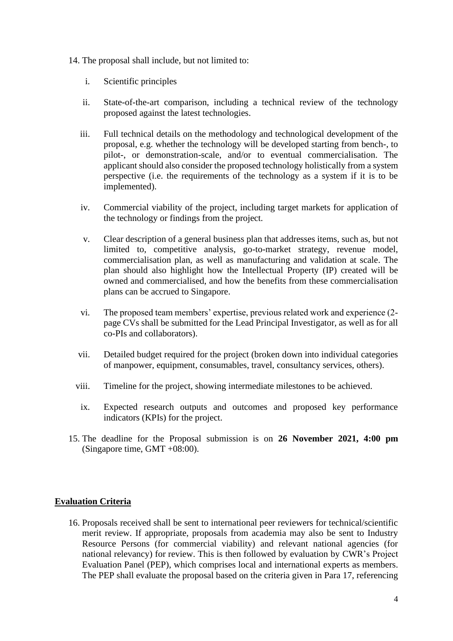- 14. The proposal shall include, but not limited to:
	- i. Scientific principles
	- ii. State-of-the-art comparison, including a technical review of the technology proposed against the latest technologies.
	- iii. Full technical details on the methodology and technological development of the proposal, e.g. whether the technology will be developed starting from bench-, to pilot-, or demonstration-scale, and/or to eventual commercialisation. The applicant should also consider the proposed technology holistically from a system perspective (i.e. the requirements of the technology as a system if it is to be implemented).
	- iv. Commercial viability of the project, including target markets for application of the technology or findings from the project.
	- v. Clear description of a general business plan that addresses items, such as, but not limited to, competitive analysis, go-to-market strategy, revenue model, commercialisation plan, as well as manufacturing and validation at scale. The plan should also highlight how the Intellectual Property (IP) created will be owned and commercialised, and how the benefits from these commercialisation plans can be accrued to Singapore.
	- vi. The proposed team members' expertise, previous related work and experience (2 page CVs shall be submitted for the Lead Principal Investigator, as well as for all co-PIs and collaborators).
	- vii. Detailed budget required for the project (broken down into individual categories of manpower, equipment, consumables, travel, consultancy services, others).
	- viii. Timeline for the project, showing intermediate milestones to be achieved.
		- ix. Expected research outputs and outcomes and proposed key performance indicators (KPIs) for the project.
- 15. The deadline for the Proposal submission is on **26 November 2021, 4:00 pm** (Singapore time, GMT +08:00).

#### <span id="page-3-0"></span>**Evaluation Criteria**

16. Proposals received shall be sent to international peer reviewers for technical/scientific merit review. If appropriate, proposals from academia may also be sent to Industry Resource Persons (for commercial viability) and relevant national agencies (for national relevancy) for review. This is then followed by evaluation by CWR's Project Evaluation Panel (PEP), which comprises local and international experts as members. The PEP shall evaluate the proposal based on the criteria given in Para 17, referencing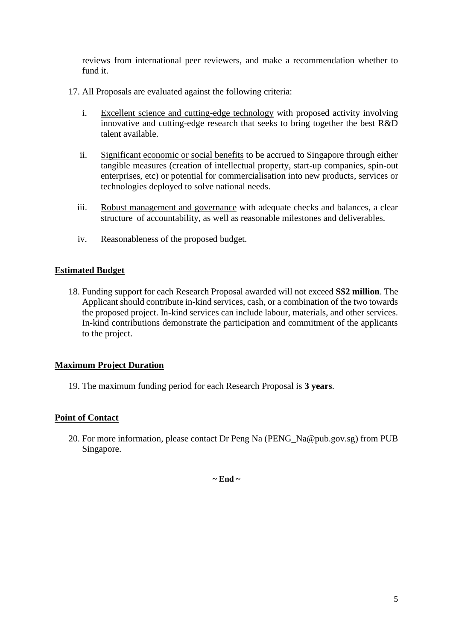reviews from international peer reviewers, and make a recommendation whether to fund it.

- 17. All Proposals are evaluated against the following criteria:
	- i. Excellent science and cutting-edge technology with proposed activity involving innovative and cutting-edge research that seeks to bring together the best R&D talent available.
	- ii. Significant economic or social benefits to be accrued to Singapore through either tangible measures (creation of intellectual property, start-up companies, spin-out enterprises, etc) or potential for commercialisation into new products, services or technologies deployed to solve national needs.
	- iii. Robust management and governance with adequate checks and balances, a clear structure of accountability, as well as reasonable milestones and deliverables.
	- iv. Reasonableness of the proposed budget.

#### <span id="page-4-0"></span>**Estimated Budget**

18. Funding support for each Research Proposal awarded will not exceed **S\$2 million**. The Applicant should contribute in-kind services, cash, or a combination of the two towards the proposed project. In-kind services can include labour, materials, and other services. In-kind contributions demonstrate the participation and commitment of the applicants to the project.

#### <span id="page-4-1"></span>**Maximum Project Duration**

19. The maximum funding period for each Research Proposal is **3 years**.

#### <span id="page-4-2"></span>**Point of Contact**

20. For more information, please contact Dr Peng Na (PENG\_Na@pub.gov.sg) from PUB Singapore.

**~ End ~**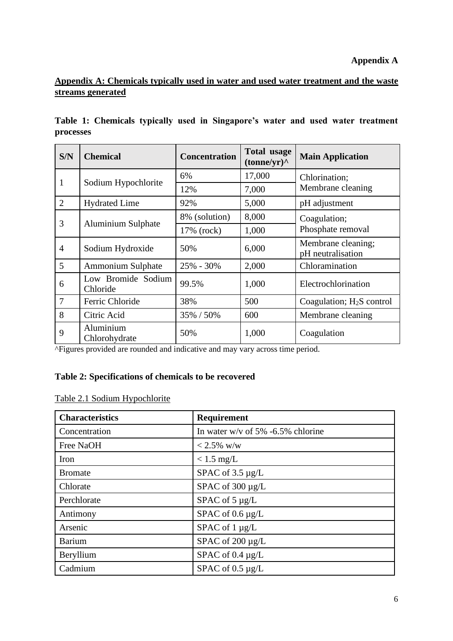# <span id="page-5-0"></span>**Appendix A: Chemicals typically used in water and used water treatment and the waste streams generated**

|           |  |  | Table 1: Chemicals typically used in Singapore's water and used water treatment |  |  |  |
|-----------|--|--|---------------------------------------------------------------------------------|--|--|--|
| processes |  |  |                                                                                 |  |  |  |

| S/N            | <b>Chemical</b>                | <b>Concentration</b> | <b>Total usage</b><br>(tonne/yr) | <b>Main Application</b>                 |
|----------------|--------------------------------|----------------------|----------------------------------|-----------------------------------------|
| 1              | Sodium Hypochlorite            | 6%                   | 17,000                           | Chlorination;                           |
|                |                                | 12%                  | 7,000                            | Membrane cleaning                       |
| $\overline{2}$ | <b>Hydrated Lime</b>           | 92%                  | 5,000                            | pH adjustment                           |
|                |                                | 8% (solution)        | 8,000                            | Coagulation;                            |
| 3              | Aluminium Sulphate             | 17% (rock)           | 1,000                            | Phosphate removal                       |
| $\overline{4}$ | Sodium Hydroxide               | 50%                  | 6,000                            | Membrane cleaning;<br>pH neutralisation |
| 5              | Ammonium Sulphate              | $25\% - 30\%$        | 2,000                            | Chloramination                          |
| 6              | Low Bromide Sodium<br>Chloride | 99.5%                | 1,000                            | Electrochlorination                     |
| $\overline{7}$ | Ferric Chloride                | 38%                  | 500                              | Coagulation; $H_2S$ control             |
| 8              | Citric Acid                    | 35% / 50%            | 600                              | Membrane cleaning                       |
| 9              | Aluminium<br>Chlorohydrate     | 50%                  | 1,000                            | Coagulation                             |

^Figures provided are rounded and indicative and may vary across time period.

# **Table 2: Specifications of chemicals to be recovered**

| Table 2.1 Sodium Hypochlorite |  |  |  |  |  |
|-------------------------------|--|--|--|--|--|
|-------------------------------|--|--|--|--|--|

| <b>Characteristics</b> | Requirement                          |
|------------------------|--------------------------------------|
| Concentration          | In water w/v of $5\%$ -6.5% chlorine |
| Free NaOH              | $< 2.5\%$ w/w                        |
| Iron                   | $< 1.5$ mg/L                         |
| <b>Bromate</b>         | SPAC of $3.5 \mu g/L$                |
| Chlorate               | SPAC of 300 µg/L                     |
| Perchlorate            | SPAC of $5 \mu g/L$                  |
| Antimony               | SPAC of $0.6 \mu g/L$                |
| Arsenic                | SPAC of 1 µg/L                       |
| <b>Barium</b>          | SPAC of $200 \mu g/L$                |
| Beryllium              | SPAC of $0.4 \mu g/L$                |
| Cadmium                | SPAC of $0.5 \mu g/L$                |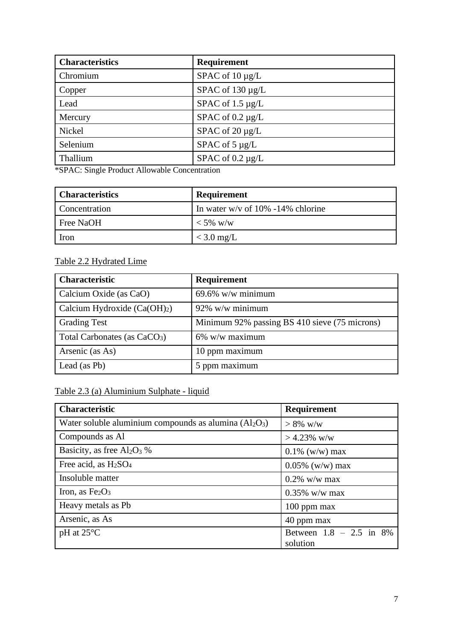| <b>Characteristics</b> | Requirement           |
|------------------------|-----------------------|
| Chromium               | SPAC of $10 \mu g/L$  |
| Copper                 | SPAC of $130 \mu g/L$ |
| Lead                   | SPAC of $1.5 \mu g/L$ |
| Mercury                | SPAC of $0.2 \mu g/L$ |
| Nickel                 | SPAC of $20 \mu g/L$  |
| Selenium               | SPAC of $5 \mu g/L$   |
| Thallium               | SPAC of $0.2 \mu g/L$ |

\*SPAC: Single Product Allowable Concentration

| <b>Characteristics</b> | <b>Requirement</b>                   |
|------------------------|--------------------------------------|
| Concentration          | In water w/v of $10\%$ -14% chlorine |
| Free NaOH              | $<$ 5% w/w                           |
| Iron                   | $<$ 3.0 mg/L                         |

# Table 2.2 Hydrated Lime

| <b>Characteristic</b>                    | <b>Requirement</b>                            |
|------------------------------------------|-----------------------------------------------|
| Calcium Oxide (as CaO)                   | $69.6\%$ w/w minimum                          |
| Calcium Hydroxide $(Ca(OH)2)$            | $92\%$ w/w minimum                            |
| <b>Grading Test</b>                      | Minimum 92% passing BS 410 sieve (75 microns) |
| Total Carbonates (as CaCO <sub>3</sub> ) | $6\%$ w/w maximum                             |
| Arsenic (as As)                          | 10 ppm maximum                                |
| Lead (as Pb)                             | 5 ppm maximum                                 |

# Table 2.3 (a) Aluminium Sulphate - liquid

| <b>Characteristic</b>                                    | Requirement                           |
|----------------------------------------------------------|---------------------------------------|
| Water soluble aluminium compounds as alumina $(Al_2O_3)$ | $> 8\%$ w/w                           |
| Compounds as Al                                          | $> 4.23\%$ w/w                        |
| Basicity, as free $Al_2O_3$ %                            | $0.1\%$ (w/w) max                     |
| Free acid, as H <sub>2</sub> SO <sub>4</sub>             | $0.05\%$ (w/w) max                    |
| Insoluble matter                                         | $0.2\%$ w/w max                       |
| Iron, as $Fe2O3$                                         | $0.35\%$ w/w max                      |
| Heavy metals as Pb                                       | $100$ ppm max                         |
| Arsenic, as As                                           | 40 ppm max                            |
| $pH$ at 25 $\mathrm{^{\circ}C}$                          | Between $1.8 - 2.5$ in 8%<br>solution |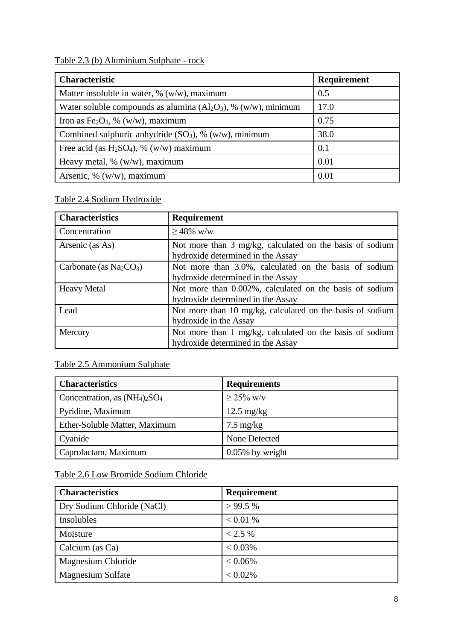|  |  |  | Table 2.3 (b) Aluminium Sulphate - rock |  |  |  |
|--|--|--|-----------------------------------------|--|--|--|
|--|--|--|-----------------------------------------|--|--|--|

| <b>Characteristic</b>                                             | Requirement |
|-------------------------------------------------------------------|-------------|
| Matter insoluble in water, $\%$ (w/w), maximum                    | 0.5         |
| Water soluble compounds as alumina $(Al_2O_3)$ , % (w/w), minimum | 17.0        |
| Iron as Fe <sub>2</sub> O <sub>3</sub> , % (w/w), maximum         | 0.75        |
| Combined sulphuric anhydride $(SO_3)$ , % $(w/w)$ , minimum       | 38.0        |
| Free acid (as $H_2SO_4$ ), % (w/w) maximum                        | 0.1         |
| Heavy metal, $% (w/w)$ , maximum                                  | 0.01        |
| Arsenic, % $(w/w)$ , maximum                                      | 0.01        |

# Table 2.4 Sodium Hydroxide

| <b>Characteristics</b>   | Requirement                                                                                   |  |  |
|--------------------------|-----------------------------------------------------------------------------------------------|--|--|
| Concentration            | $>48\%$ w/w                                                                                   |  |  |
| Arsenic (as As)          | Not more than 3 mg/kg, calculated on the basis of sodium<br>hydroxide determined in the Assay |  |  |
| Carbonate (as $Na2CO3$ ) | Not more than 3.0%, calculated on the basis of sodium<br>hydroxide determined in the Assay    |  |  |
| <b>Heavy Metal</b>       | Not more than 0.002%, calculated on the basis of sodium<br>hydroxide determined in the Assay  |  |  |
| Lead                     | Not more than 10 mg/kg, calculated on the basis of sodium<br>hydroxide in the Assay           |  |  |
| Mercury                  | Not more than 1 mg/kg, calculated on the basis of sodium<br>hydroxide determined in the Assay |  |  |

# Table 2.5 Ammonium Sulphate

| <b>Characteristics</b>           | <b>Requirements</b>  |
|----------------------------------|----------------------|
| Concentration, as $(NH_4)_2SO_4$ | $> 25\%$ w/v         |
| Pyridine, Maximum                | $12.5 \text{ mg/kg}$ |
| Ether-Soluble Matter, Maximum    | $7.5 \text{ mg/kg}$  |
| Cyanide                          | None Detected        |
| Caprolactam, Maximum             | $0.05\%$ by weight   |

# Table 2.6 Low Bromide Sodium Chloride

| <b>Characteristics</b>     | Requirement |
|----------------------------|-------------|
| Dry Sodium Chloride (NaCl) | >99.5%      |
| Insolubles                 | < 0.01 %    |
| Moisture                   | < 2.5 %     |
| Calcium (as Ca)            | $< 0.03\%$  |
| Magnesium Chloride         | $< 0.06\%$  |
| <b>Magnesium Sulfate</b>   | $< 0.02\%$  |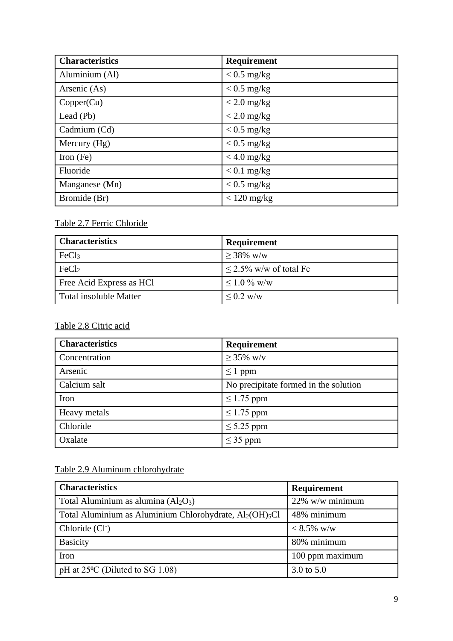| <b>Characteristics</b> | Requirement   |
|------------------------|---------------|
| Aluminium (Al)         | $< 0.5$ mg/kg |
| Arsenic (As)           | $< 0.5$ mg/kg |
| Copper(Cu)             | $<$ 2.0 mg/kg |
| Lead (Pb)              | $<$ 2.0 mg/kg |
| Cadmium (Cd)           | $< 0.5$ mg/kg |
| Mercury (Hg)           | $< 0.5$ mg/kg |
| Iron $(Fe)$            | $<$ 4.0 mg/kg |
| Fluoride               | $< 0.1$ mg/kg |
| Manganese (Mn)         | $< 0.5$ mg/kg |
| Bromide (Br)           | $< 120$ mg/kg |

# Table 2.7 Ferric Chloride

| <b>Characteristics</b>        | Requirement                 |
|-------------------------------|-----------------------------|
| FeCl <sub>3</sub>             | $> 38\%$ w/w                |
| FeCl <sub>2</sub>             | $\leq$ 2.5% w/w of total Fe |
| Free Acid Express as HCl      | $\leq 1.0\%$ w/w            |
| <b>Total insoluble Matter</b> | $< 0.2$ w/w                 |

# Table 2.8 Citric acid

| <b>Characteristics</b> | Requirement                           |  |
|------------------------|---------------------------------------|--|
| Concentration          | $\geq$ 35% w/v                        |  |
| Arsenic                | $\leq 1$ ppm                          |  |
| Calcium salt           | No precipitate formed in the solution |  |
| Iron                   | $\leq$ 1.75 ppm                       |  |
| Heavy metals           | $\leq$ 1.75 ppm                       |  |
| Chloride               | $\leq$ 5.25 ppm                       |  |
| Oxalate                | $\leq$ 35 ppm                         |  |

# Table 2.9 Aluminum chlorohydrate

| <b>Characteristics</b>                                                           | Requirement     |
|----------------------------------------------------------------------------------|-----------------|
| Total Aluminium as alumina $(Al_2O_3)$                                           | 22% w/w minimum |
| Total Aluminium as Aluminium Chlorohydrate, Al <sub>2</sub> (OH) <sub>5</sub> Cl | 48% minimum     |
| Chloride (Cl <sup>-</sup> )                                                      | $< 8.5\%$ w/w   |
| <b>Basicity</b>                                                                  | 80% minimum     |
| Iron                                                                             | 100 ppm maximum |
| pH at $25^{\circ}$ C (Diluted to SG 1.08)                                        | 3.0 to 5.0      |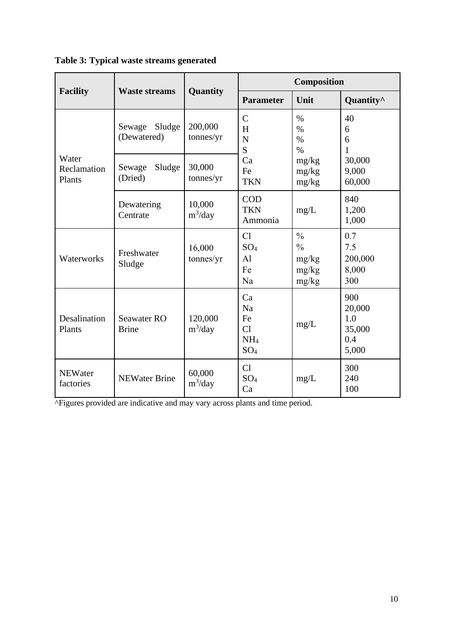|                                | <b>Waste streams</b>            | Quantity              | Composition                                                |                                                                                                           |                                                |
|--------------------------------|---------------------------------|-----------------------|------------------------------------------------------------|-----------------------------------------------------------------------------------------------------------|------------------------------------------------|
| <b>Facility</b>                |                                 |                       | <b>Parameter</b>                                           | Unit                                                                                                      | Quantity <sup>^</sup>                          |
| Water<br>Reclamation<br>Plants | Sludge<br>Sewage<br>(Dewatered) | 200,000<br>tonnes/yr  | $\mathcal{C}$<br>H<br>N<br>S<br>Ca<br>Fe<br><b>TKN</b>     | $\%$<br>40<br>$\%$<br>6<br>$\%$<br>6<br>$\%$<br>1<br>30,000<br>mg/kg<br>9,000<br>mg/kg<br>mg/kg<br>60,000 |                                                |
|                                | Sludge<br>Sewage<br>(Dried)     | 30,000<br>tonnes/yr   |                                                            |                                                                                                           |                                                |
|                                | Dewatering<br>Centrate          | 10,000<br>$m^3$ /day  | <b>COD</b><br><b>TKN</b><br>Ammonia                        | mg/L                                                                                                      | 840<br>1,200<br>1,000                          |
| Waterworks                     | Freshwater<br>Sludge            | 16,000<br>tonnes/yr   | Cl<br>SO <sub>4</sub><br>AI<br>Fe<br>Na                    | $\frac{0}{0}$<br>$\frac{0}{0}$<br>mg/kg<br>mg/kg<br>mg/kg                                                 | 0.7<br>7.5<br>200,000<br>8,000<br>300          |
| Desalination<br>Plants         | Seawater RO<br><b>Brine</b>     | 120,000<br>$m^3$ /day | Ca<br>Na<br>Fe<br>Cl<br>NH <sub>4</sub><br>SO <sub>4</sub> | mg/L                                                                                                      | 900<br>20,000<br>1.0<br>35,000<br>0.4<br>5,000 |
| <b>NEWater</b><br>factories    | <b>NEWater Brine</b>            | 60,000<br>$m^3$ /day  | Cl<br>SO <sub>4</sub><br>Ca                                | mg/L                                                                                                      | 300<br>240<br>100                              |

**Table 3: Typical waste streams generated**

^Figures provided are indicative and may vary across plants and time period.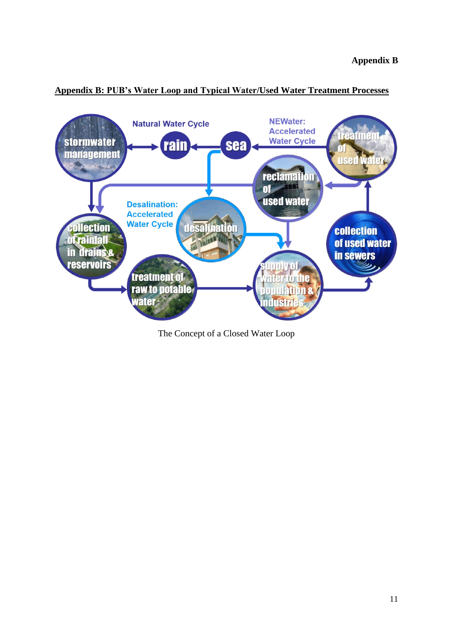

#### <span id="page-10-0"></span>**Appendix B: PUB's Water Loop and Typical Water/Used Water Treatment Processes**

The Concept of a Closed Water Loop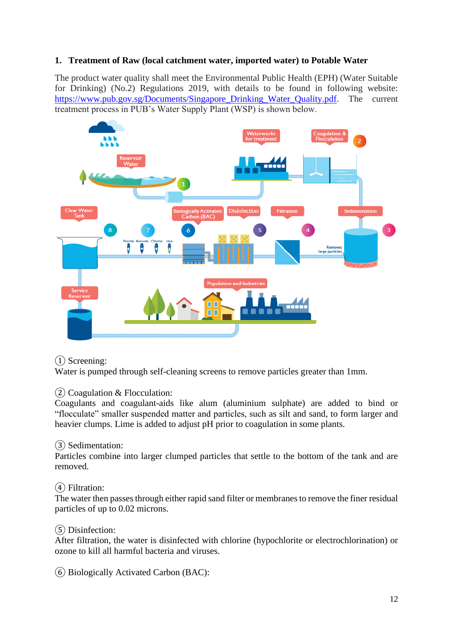## **1. Treatment of Raw (local catchment water, imported water) to Potable Water**

The product water quality shall meet the Environmental Public Health (EPH) (Water Suitable for Drinking) (No.2) Regulations 2019, with details to be found in following website: https://www.pub.gov.sg/Documents/Singapore Drinking Water Quality.pdf. The current treatment process in PUB's Water Supply Plant (WSP) is shown below.



#### ① Screening:

Water is pumped through self-cleaning screens to remove particles greater than 1mm.

 $(2)$  Coagulation & Flocculation:

Coagulants and coagulant-aids like alum (aluminium sulphate) are added to bind or "flocculate" smaller suspended matter and particles, such as silt and sand, to form larger and heavier clumps. Lime is added to adjust pH prior to coagulation in some plants.

#### ③ Sedimentation:

Particles combine into larger clumped particles that settle to the bottom of the tank and are removed.

#### ④ Filtration:

The water then passes through either rapid sand filter or membranes to remove the finer residual particles of up to 0.02 microns.

#### ⑤ Disinfection:

After filtration, the water is disinfected with chlorine (hypochlorite or electrochlorination) or ozone to kill all harmful bacteria and viruses.

⑥ Biologically Activated Carbon (BAC):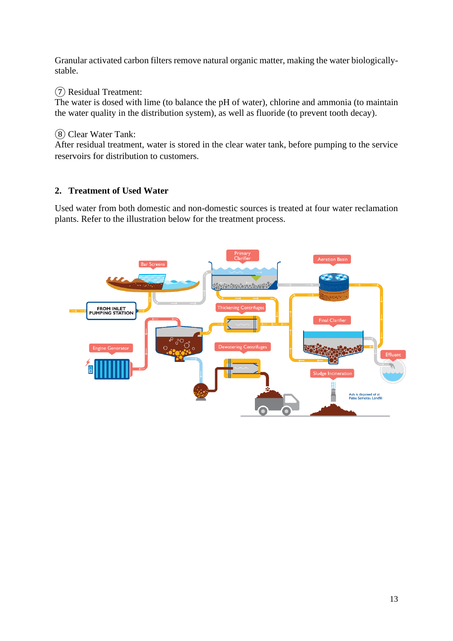Granular activated carbon filters remove natural organic matter, making the water biologicallystable.

# ⑦ Residual Treatment:

The water is dosed with lime (to balance the pH of water), chlorine and ammonia (to maintain the water quality in the distribution system), as well as fluoride (to prevent tooth decay).

# ⑧ Clear Water Tank:

After residual treatment, water is stored in the clear water tank, before pumping to the service reservoirs for distribution to customers.

# **2. Treatment of Used Water**

Used water from both domestic and non-domestic sources is treated at four water reclamation plants. Refer to the illustration below for the treatment process.

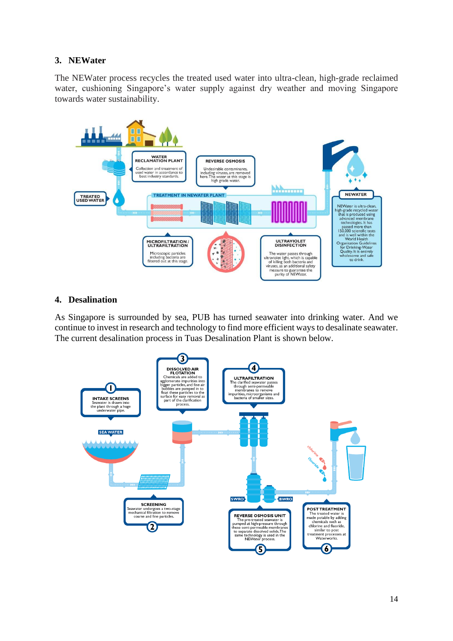# **3. NEWater**

The NEWater process recycles the treated used water into ultra-clean, high-grade reclaimed water, cushioning Singapore's water supply against dry weather and moving Singapore towards water sustainability.



## **4. Desalination**

As Singapore is surrounded by sea, PUB has turned seawater into drinking water. And we continue to invest in research and technology to find more efficient ways to desalinate seawater. The current desalination process in Tuas Desalination Plant is shown below.

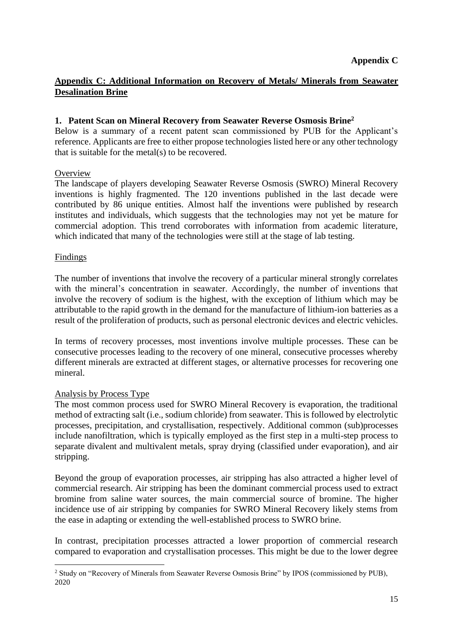# <span id="page-14-0"></span>**Appendix C: Additional Information on Recovery of Metals/ Minerals from Seawater Desalination Brine**

#### **1. Patent Scan on Mineral Recovery from Seawater Reverse Osmosis Brine<sup>2</sup>**

Below is a summary of a recent patent scan commissioned by PUB for the Applicant's reference. Applicants are free to either propose technologies listed here or any other technology that is suitable for the metal(s) to be recovered.

#### **Overview**

The landscape of players developing Seawater Reverse Osmosis (SWRO) Mineral Recovery inventions is highly fragmented. The 120 inventions published in the last decade were contributed by 86 unique entities. Almost half the inventions were published by research institutes and individuals, which suggests that the technologies may not yet be mature for commercial adoption. This trend corroborates with information from academic literature, which indicated that many of the technologies were still at the stage of lab testing.

#### Findings

The number of inventions that involve the recovery of a particular mineral strongly correlates with the mineral's concentration in seawater. Accordingly, the number of inventions that involve the recovery of sodium is the highest, with the exception of lithium which may be attributable to the rapid growth in the demand for the manufacture of lithium-ion batteries as a result of the proliferation of products, such as personal electronic devices and electric vehicles.

In terms of recovery processes, most inventions involve multiple processes. These can be consecutive processes leading to the recovery of one mineral, consecutive processes whereby different minerals are extracted at different stages, or alternative processes for recovering one mineral.

#### Analysis by Process Type

The most common process used for SWRO Mineral Recovery is evaporation, the traditional method of extracting salt (i.e., sodium chloride) from seawater. This is followed by electrolytic processes, precipitation, and crystallisation, respectively. Additional common (sub)processes include nanofiltration, which is typically employed as the first step in a multi-step process to separate divalent and multivalent metals, spray drying (classified under evaporation), and air stripping.

Beyond the group of evaporation processes, air stripping has also attracted a higher level of commercial research. Air stripping has been the dominant commercial process used to extract bromine from saline water sources, the main commercial source of bromine. The higher incidence use of air stripping by companies for SWRO Mineral Recovery likely stems from the ease in adapting or extending the well-established process to SWRO brine.

In contrast, precipitation processes attracted a lower proportion of commercial research compared to evaporation and crystallisation processes. This might be due to the lower degree

<sup>&</sup>lt;sup>2</sup> Study on "Recovery of Minerals from Seawater Reverse Osmosis Brine" by IPOS (commissioned by PUB), 2020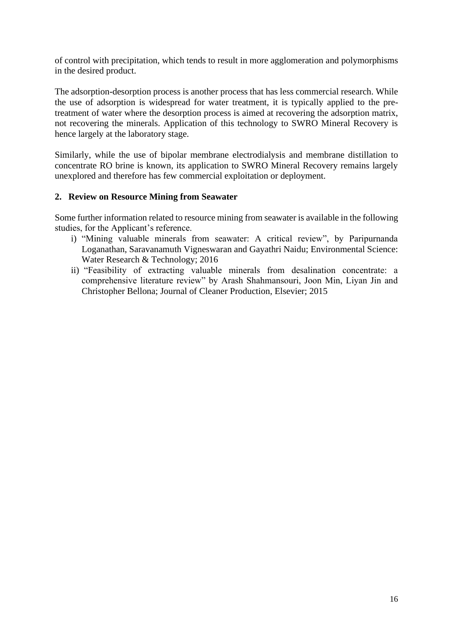of control with precipitation, which tends to result in more agglomeration and polymorphisms in the desired product.

The adsorption-desorption process is another process that has less commercial research. While the use of adsorption is widespread for water treatment, it is typically applied to the pretreatment of water where the desorption process is aimed at recovering the adsorption matrix, not recovering the minerals. Application of this technology to SWRO Mineral Recovery is hence largely at the laboratory stage.

Similarly, while the use of bipolar membrane electrodialysis and membrane distillation to concentrate RO brine is known, its application to SWRO Mineral Recovery remains largely unexplored and therefore has few commercial exploitation or deployment.

#### **2. Review on Resource Mining from Seawater**

Some further information related to resource mining from seawater is available in the following studies, for the Applicant's reference.

- i) "Mining valuable minerals from seawater: A critical review", by Paripurnanda Loganathan, Saravanamuth Vigneswaran and Gayathri Naidu; Environmental Science: Water Research & Technology; 2016
- ii) "Feasibility of extracting valuable minerals from desalination concentrate: a comprehensive literature review" by Arash Shahmansouri, Joon Min, Liyan Jin and Christopher Bellona; Journal of Cleaner Production, Elsevier; 2015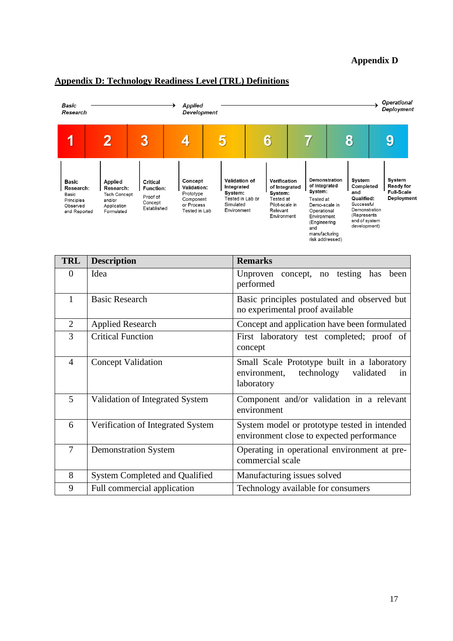## **Appendix D**



## <span id="page-16-0"></span>**Appendix D: Technology Readiness Level (TRL) Definitions**

| TRL            | <b>Description</b>                    | <b>Remarks</b>                                                                                             |  |  |  |
|----------------|---------------------------------------|------------------------------------------------------------------------------------------------------------|--|--|--|
| $\theta$       | Idea                                  | Unproven concept, no testing has<br>been<br>performed                                                      |  |  |  |
| $\mathbf{1}$   | <b>Basic Research</b>                 | Basic principles postulated and observed but<br>no experimental proof available                            |  |  |  |
| $\overline{2}$ | <b>Applied Research</b>               | Concept and application have been formulated                                                               |  |  |  |
| 3              | <b>Critical Function</b>              | First laboratory test completed; proof of<br>concept                                                       |  |  |  |
| $\overline{4}$ | <b>Concept Validation</b>             | Small Scale Prototype built in a laboratory<br>technology<br>validated<br>environment,<br>in<br>laboratory |  |  |  |
| 5              | Validation of Integrated System       | Component and/or validation in a relevant<br>environment                                                   |  |  |  |
| 6              | Verification of Integrated System     | System model or prototype tested in intended<br>environment close to expected performance                  |  |  |  |
| $\overline{7}$ | <b>Demonstration System</b>           | Operating in operational environment at pre-<br>commercial scale                                           |  |  |  |
| 8              | <b>System Completed and Qualified</b> | Manufacturing issues solved                                                                                |  |  |  |
| 9              | Full commercial application           | Technology available for consumers                                                                         |  |  |  |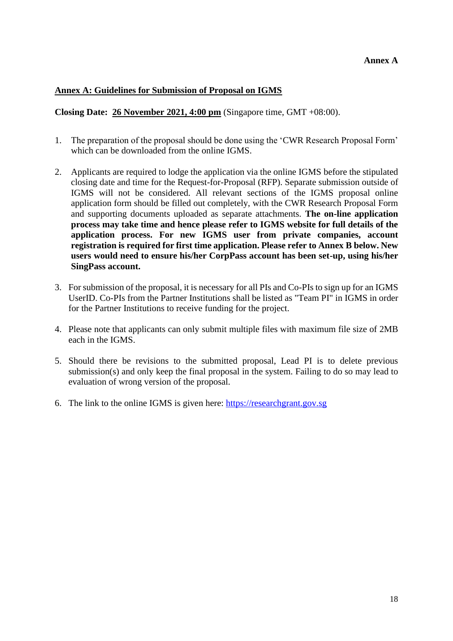#### <span id="page-17-0"></span>**Annex A: Guidelines for Submission of Proposal on IGMS**

**Closing Date: 26 November 2021, 4:00 pm** (Singapore time, GMT +08:00).

- 1. The preparation of the proposal should be done using the 'CWR Research Proposal Form' which can be downloaded from the online IGMS.
- 2. Applicants are required to lodge the application via the online IGMS before the stipulated closing date and time for the Request-for-Proposal (RFP). Separate submission outside of IGMS will not be considered. All relevant sections of the IGMS proposal online application form should be filled out completely, with the CWR Research Proposal Form and supporting documents uploaded as separate attachments. **The on-line application process may take time and hence please refer to IGMS website for full details of the application process. For new IGMS user from private companies, account registration is required for first time application. Please refer to Annex B below. New users would need to ensure his/her CorpPass account has been set-up, using his/her SingPass account.**
- 3. For submission of the proposal, it is necessary for all PIs and Co-PIs to sign up for an IGMS UserID. Co-PIs from the Partner Institutions shall be listed as "Team PI" in IGMS in order for the Partner Institutions to receive funding for the project.
- 4. Please note that applicants can only submit multiple files with maximum file size of 2MB each in the IGMS.
- 5. Should there be revisions to the submitted proposal, Lead PI is to delete previous submission(s) and only keep the final proposal in the system. Failing to do so may lead to evaluation of wrong version of the proposal.
- 6. The link to the online IGMS is given here: [https://researchgrant.gov.sg](https://researchgrant.gov.sg/)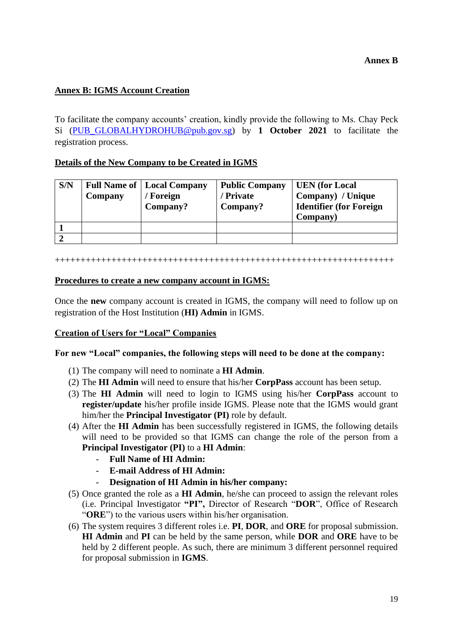### <span id="page-18-0"></span>**Annex B: IGMS Account Creation**

To facilitate the company accounts' creation, kindly provide the following to Ms. Chay Peck Si [\(PUB\\_GLOBALHYDROHUB@pub.gov.sg\)](mailto:PUB_GLOBALHYDROHUB@pub.gov.sg) by **1 October 2021** to facilitate the registration process.

#### **Details of the New Company to be Created in IGMS**

| S/N | Company | <b>Full Name of   Local Company</b><br>/ Foreign<br>Company? | <b>Public Company</b><br>/ Private<br>Company? | <b>UEN</b> (for Local<br>Company) / Unique<br><b>Identifier (for Foreign)</b><br>Company) |
|-----|---------|--------------------------------------------------------------|------------------------------------------------|-------------------------------------------------------------------------------------------|
|     |         |                                                              |                                                |                                                                                           |
|     |         |                                                              |                                                |                                                                                           |

++++++++++++++++++++++++++++++++++++++++++++++++++++++++++++++++++

#### **Procedures to create a new company account in IGMS:**

Once the **new** company account is created in IGMS, the company will need to follow up on registration of the Host Institution (**HI) Admin** in IGMS.

#### **Creation of Users for "Local" Companies**

#### **For new "Local" companies, the following steps will need to be done at the company:**

- (1) The company will need to nominate a **HI Admin**.
- (2) The **HI Admin** will need to ensure that his/her **CorpPass** account has been setup.
- (3) The **HI Admin** will need to login to IGMS using his/her **CorpPass** account to **register/update** his/her profile inside IGMS. Please note that the IGMS would grant him/her the **Principal Investigator (PI)** role by default.
- (4) After the **HI Admin** has been successfully registered in IGMS, the following details will need to be provided so that IGMS can change the role of the person from a **Principal Investigator (PI)** to a **HI Admin**:
	- **Full Name of HI Admin:**
	- **E-mail Address of HI Admin:**
	- **Designation of HI Admin in his/her company:**
- (5) Once granted the role as a **HI Admin**, he/she can proceed to assign the relevant roles (i.e. Principal Investigator **"PI",** Director of Research "**DOR**", Office of Research "**ORE**") to the various users within his/her organisation.
- (6) The system requires 3 different roles i.e. **PI**, **DOR**, and **ORE** for proposal submission. **HI Admin** and **PI** can be held by the same person, while **DOR** and **ORE** have to be held by 2 different people. As such, there are minimum 3 different personnel required for proposal submission in **IGMS**.